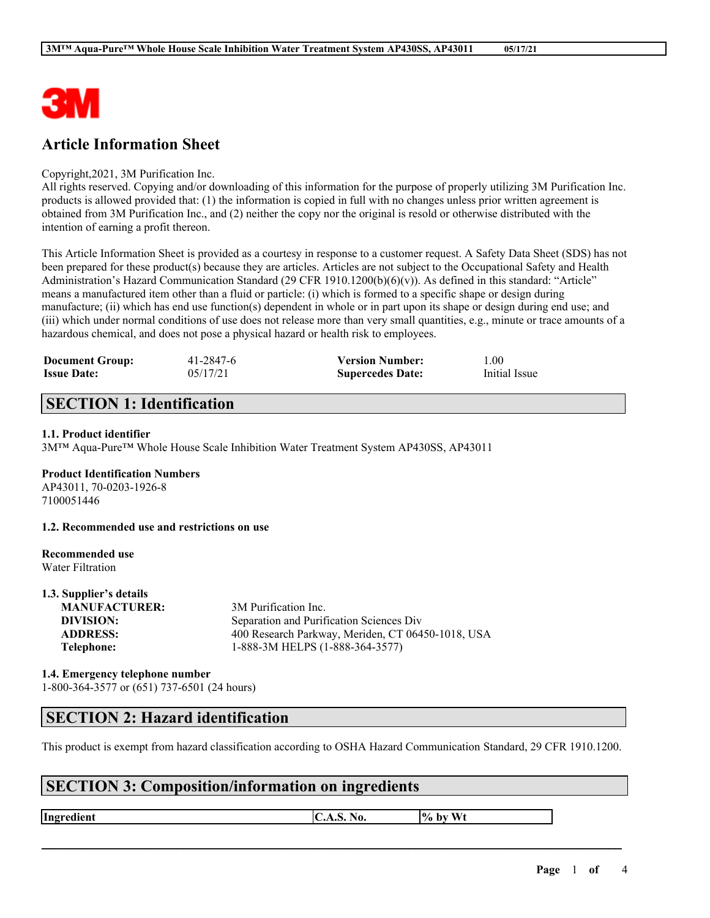

# **Article Information Sheet**

#### Copyright,2021, 3M Purification Inc.

All rights reserved. Copying and/or downloading of this information for the purpose of properly utilizing 3M Purification Inc. products is allowed provided that: (1) the information is copied in full with no changes unless prior written agreement is obtained from 3M Purification Inc., and (2) neither the copy nor the original is resold or otherwise distributed with the intention of earning a profit thereon.

This Article Information Sheet is provided as a courtesy in response to a customer request. A Safety Data Sheet (SDS) has not been prepared for these product(s) because they are articles. Articles are not subject to the Occupational Safety and Health Administration's Hazard Communication Standard (29 CFR 1910.1200(b)(6)(v)). As defined in this standard: "Article" means a manufactured item other than a fluid or particle: (i) which is formed to a specific shape or design during manufacture; (ii) which has end use function(s) dependent in whole or in part upon its shape or design during end use; and (iii) which under normal conditions of use does not release more than very small quantities, e.g., minute or trace amounts of a hazardous chemical, and does not pose a physical hazard or health risk to employees.

| <b>Document Group:</b> | 41-2847-6 | <b>Version Number:</b>  | 00.1          |
|------------------------|-----------|-------------------------|---------------|
| <b>Issue Date:</b>     | 05/17/21  | <b>Supercedes Date:</b> | Initial Issue |

# **SECTION 1: Identification**

#### **1.1. Product identifier**

3M™ Aqua-Pure™ Whole House Scale Inhibition Water Treatment System AP430SS, AP43011

### **Product Identification Numbers**

AP43011, 70-0203-1926-8 7100051446

**1.2. Recommended use and restrictions on use**

#### **Recommended use** Water Filtration

**1.3. Supplier's details**

| 1.3. Supplier 5 uctains |                                                   |
|-------------------------|---------------------------------------------------|
| <b>MANUFACTURER:</b>    | 3M Purification Inc.                              |
| DIVISION:               | Separation and Purification Sciences Div          |
| <b>ADDRESS:</b>         | 400 Research Parkway, Meriden, CT 06450-1018, USA |
| Telephone:              | 1-888-3M HELPS (1-888-364-3577)                   |
|                         |                                                   |

### **1.4. Emergency telephone number** 1-800-364-3577 or (651) 737-6501 (24 hours)

### **SECTION 2: Hazard identification**

This product is exempt from hazard classification according to OSHA Hazard Communication Standard, 29 CFR 1910.1200.

 $\mathcal{L}_\mathcal{L} = \mathcal{L}_\mathcal{L} = \mathcal{L}_\mathcal{L} = \mathcal{L}_\mathcal{L} = \mathcal{L}_\mathcal{L} = \mathcal{L}_\mathcal{L} = \mathcal{L}_\mathcal{L} = \mathcal{L}_\mathcal{L} = \mathcal{L}_\mathcal{L} = \mathcal{L}_\mathcal{L} = \mathcal{L}_\mathcal{L} = \mathcal{L}_\mathcal{L} = \mathcal{L}_\mathcal{L} = \mathcal{L}_\mathcal{L} = \mathcal{L}_\mathcal{L} = \mathcal{L}_\mathcal{L} = \mathcal{L}_\mathcal{L}$ 

# **SECTION 3: Composition/information on ingredients**

**Ingredient**  $\begin{bmatrix} C.A.S. No. \end{bmatrix}$  **by** Wt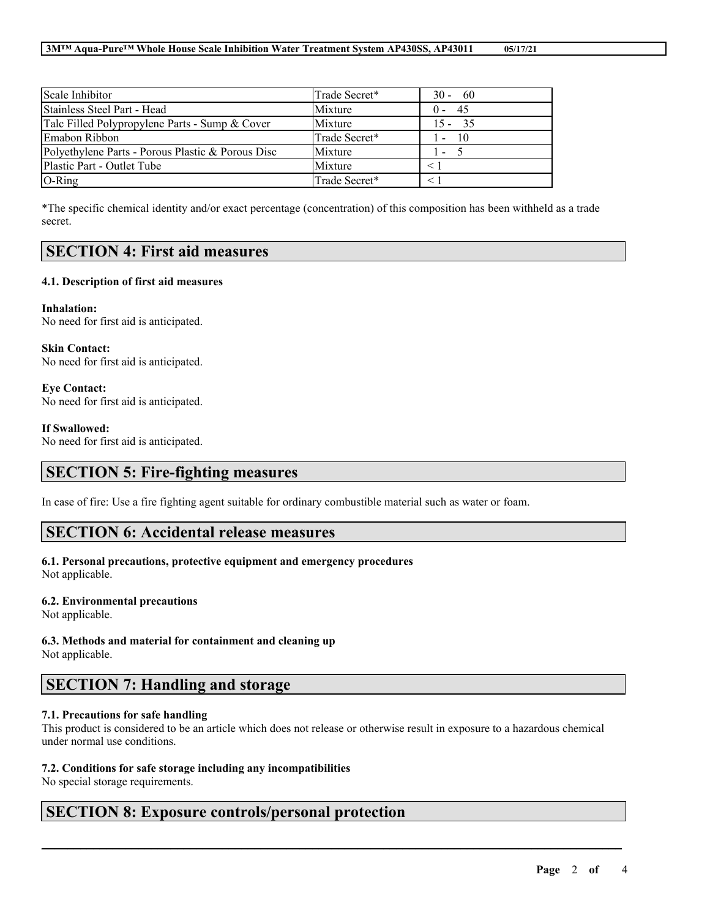| Scale Inhibitor                                   | Trade Secret* | $30 - 60$            |
|---------------------------------------------------|---------------|----------------------|
| Stainless Steel Part - Head                       | Mixture       | - 45<br>$(1 -$       |
| Talc Filled Polypropylene Parts - Sump & Cover    | Mixture       | $15 - 35$            |
| Emabon Ribbon                                     | Trade Secret* | $\sqrt{10}$<br>$1 -$ |
| Polyethylene Parts - Porous Plastic & Porous Disc | Mixture       | $1 - 5$              |
| Plastic Part - Outlet Tube                        | Mixture       |                      |
| $O-Ring$                                          | Trade Secret* |                      |

\*The specific chemical identity and/or exact percentage (concentration) of this composition has been withheld as a trade secret.

### **SECTION 4: First aid measures**

#### **4.1. Description of first aid measures**

**Inhalation:** No need for first aid is anticipated.

**Skin Contact:** No need for first aid is anticipated.

**Eye Contact:** No need for first aid is anticipated.

#### **If Swallowed:**

No need for first aid is anticipated.

### **SECTION 5: Fire-fighting measures**

In case of fire: Use a fire fighting agent suitable for ordinary combustible material such as water or foam.

### **SECTION 6: Accidental release measures**

### **6.1. Personal precautions, protective equipment and emergency procedures**

Not applicable.

#### **6.2. Environmental precautions**

Not applicable.

# **6.3. Methods and material for containment and cleaning up**

Not applicable.

# **SECTION 7: Handling and storage**

### **7.1. Precautions for safe handling**

This product is considered to be an article which does not release or otherwise result in exposure to a hazardous chemical under normal use conditions.

 $\mathcal{L}_\mathcal{L} = \mathcal{L}_\mathcal{L} = \mathcal{L}_\mathcal{L} = \mathcal{L}_\mathcal{L} = \mathcal{L}_\mathcal{L} = \mathcal{L}_\mathcal{L} = \mathcal{L}_\mathcal{L} = \mathcal{L}_\mathcal{L} = \mathcal{L}_\mathcal{L} = \mathcal{L}_\mathcal{L} = \mathcal{L}_\mathcal{L} = \mathcal{L}_\mathcal{L} = \mathcal{L}_\mathcal{L} = \mathcal{L}_\mathcal{L} = \mathcal{L}_\mathcal{L} = \mathcal{L}_\mathcal{L} = \mathcal{L}_\mathcal{L}$ 

### **7.2. Conditions for safe storage including any incompatibilities**

No special storage requirements.

### **SECTION 8: Exposure controls/personal protection**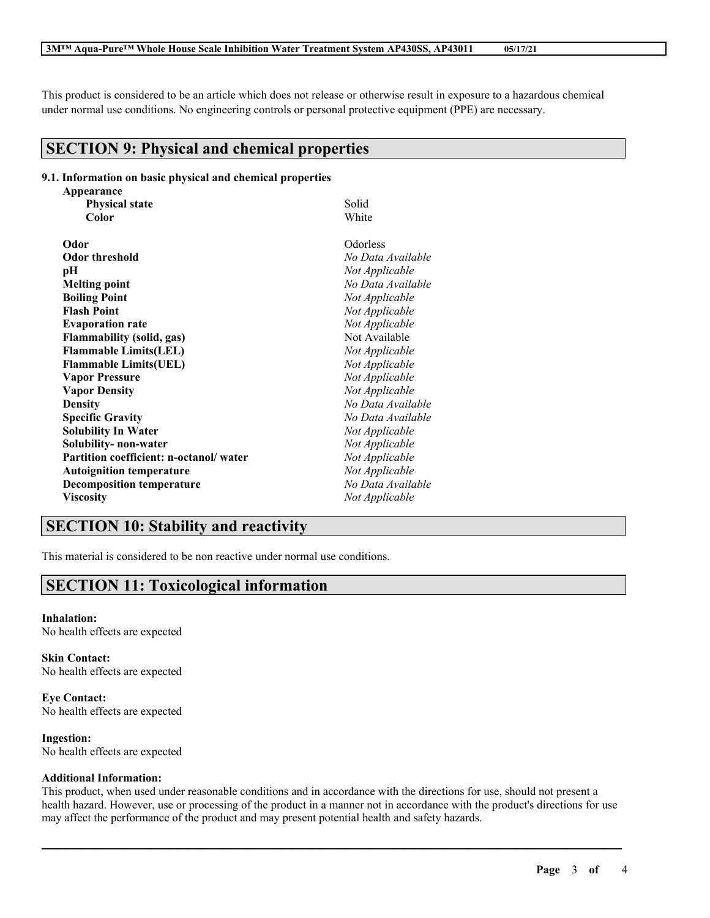This product is considered to be an article which does not release or otherwise result in exposure to a hazardous chemical under normal use conditions. No engineering controls or personal protective equipment (PPE) are necessary.

### **SECTION 9: Physical and chemical properties**

#### **9.1. Information on basic physical and chemical properties Appearance**

| Appearance                             |                   |
|----------------------------------------|-------------------|
| <b>Physical state</b>                  | Solid             |
| Color                                  | White             |
| Odor                                   | Odorless          |
| <b>Odor threshold</b>                  | No Data Available |
| рH                                     | Not Applicable    |
| <b>Melting point</b>                   | No Data Available |
| <b>Boiling Point</b>                   | Not Applicable    |
| <b>Flash Point</b>                     | Not Applicable    |
| <b>Evaporation rate</b>                | Not Applicable    |
| <b>Flammability (solid, gas)</b>       | Not Available     |
| <b>Flammable Limits(LEL)</b>           | Not Applicable    |
| <b>Flammable Limits(UEL)</b>           | Not Applicable    |
| <b>Vapor Pressure</b>                  | Not Applicable    |
| <b>Vapor Density</b>                   | Not Applicable    |
| <b>Density</b>                         | No Data Available |
| <b>Specific Gravity</b>                | No Data Available |
| <b>Solubility In Water</b>             | Not Applicable    |
| Solubility- non-water                  | Not Applicable    |
| Partition coefficient: n-octanol/water | Not Applicable    |
| <b>Autoignition temperature</b>        | Not Applicable    |
| <b>Decomposition temperature</b>       | No Data Available |
| <b>Viscosity</b>                       | Not Applicable    |
|                                        |                   |

# **SECTION 10: Stability and reactivity**

This material is considered to be non reactive under normal use conditions.

# **SECTION 11: Toxicological information**

#### **Inhalation:** No health effects are expected

**Skin Contact:** No health effects are expected

**Eye Contact:** No health effects are expected

**Ingestion:** No health effects are expected

### **Additional Information:**

This product, when used under reasonable conditions and in accordance with the directions for use, should not present a health hazard. However, use or processing of the product in a manner not in accordance with the product's directions for use may affect the performance of the product and may present potential health and safety hazards.

 $\mathcal{L}_\mathcal{L} = \mathcal{L}_\mathcal{L} = \mathcal{L}_\mathcal{L} = \mathcal{L}_\mathcal{L} = \mathcal{L}_\mathcal{L} = \mathcal{L}_\mathcal{L} = \mathcal{L}_\mathcal{L} = \mathcal{L}_\mathcal{L} = \mathcal{L}_\mathcal{L} = \mathcal{L}_\mathcal{L} = \mathcal{L}_\mathcal{L} = \mathcal{L}_\mathcal{L} = \mathcal{L}_\mathcal{L} = \mathcal{L}_\mathcal{L} = \mathcal{L}_\mathcal{L} = \mathcal{L}_\mathcal{L} = \mathcal{L}_\mathcal{L}$